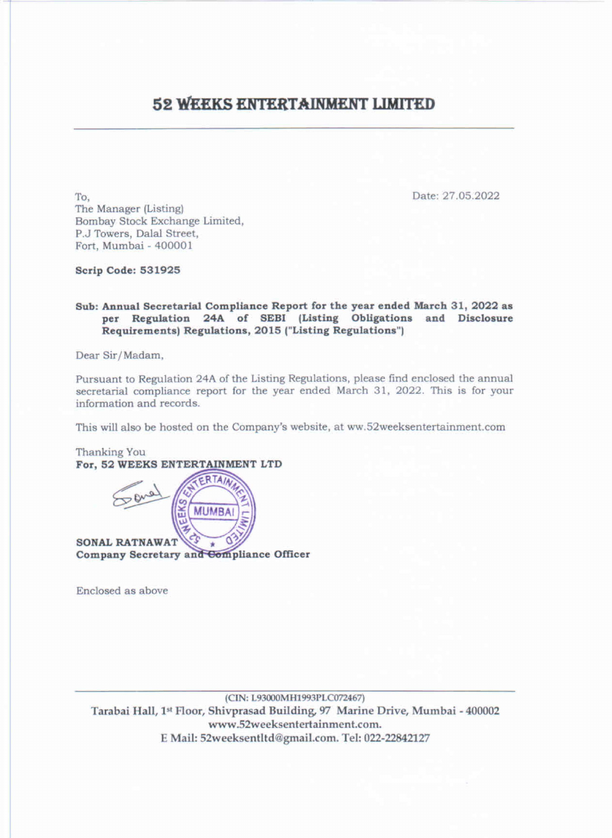## 52 WEEKS ENTERT 52 WEEKS ENTERTAINMENT LIMITED

To, Date: 27.05.2022 The Manager (Listing) Bombay Stock Exchange Limited, P.J Towers, Dalal Street, Fort, Mumbai - 400001

Scrip Code: 531925

Sub: Annual Secretarial Compliance Report for the year ended March 31, 2022 as per Regulation 24A of SEBI (Listing Obligations and Disclosure Requirements) Regulations, 2015 ("Listing Regulations")

Thanking You For, 52 WEEKS ENTERTAINMENT LTD

Dear Sir/Madam,

(CIN: L93000MH1993PLC072467)<br>Tarabai Hall, 1<sup>st</sup> Floor, Shivprasad Building, 97 Marine Drive, Mumbai - 400002 www.52weeksentertainment.com. E Mail: 52weeksentltd@gmail.com. Tel: 022-22842127

Pursuant to Regulation 24A of the Listing Regulations, please find enclosed the annual secretarial compliance report for the year ended March 31, 2022. This is for your information and records.

This will also be hosted on the Company's website, at ww.S2weeksentertainment.com

Enclosed as above

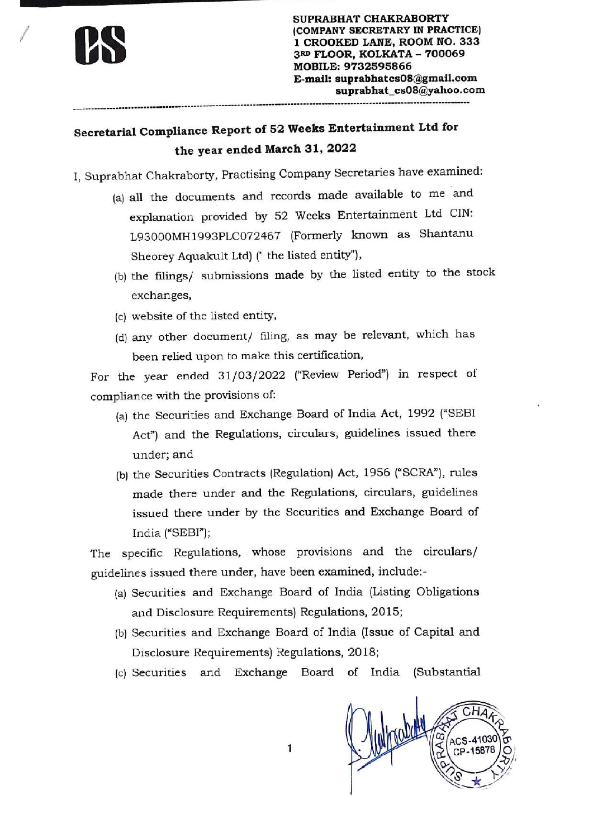

SUPRABHAT CHAKRABORTY (COMPANY SECRETARY IN PRACTICE) 1 CROOKED LANE, ROOM NO. 333 3RD FLOOR, KOLKATA - 700069 MOBILE: 9732595866 E-mail: suprabhatcsO8@gmail.com suprabhat\_csO8@yahoo.com

## Secretarial Compliance Report of 52 Weeks Entertainment Ltd for the year ended March 31, 2022

- I, Suprabhat Chakraborty, Practising Company Secretaries have examined:
	- (a) all the documents and records made available to me and explanation provided by 52 Weeks Entertainment Ltd CIN: L93000MH1993PLC072467 (Formerly known as Shantanu Sheorey Aquakult Ltd) (" the listed entity'),
	- (b) the filings/ submissions made by the listed entity to the stock exchanges,
	- (c) website of the listed entity,
	- (d) any other document/ filing, as may be relevant, which has been relied upon to make this certification,

For the year ended 31/03/2022 ("Review Period") in respect of compliance with the provisions of:

- (a) the Securities and Exchange Board of India Act, 1992 ("SEBI Act") and the Regulations, circulars, guidelines issued there under; and
- (b) the Securities Contracts (Regulation) Act, 1956 ("SCRA"), rules made there under and the Regulations, circulars, guidelines issued there under by the Securities and Exchange Board of India ("SEBI");

The specific Regulations, whose provisions and the circulars/ guidelines issued there under, have been examined, include:-

- (a) Sec<br>and<br>(b) Sec<br>Dis<br>(c) Sec (a) Securities and Exchange Board of India (Listing Obligations and Disclosure Requirements) Regulations, 2015;
	- (b) Securities and Exchange Board of India (Issue of Capital and Disclosure Requirements) Regulations, 2018;
	- (c) Securities and Exchange Board of India (Substantial

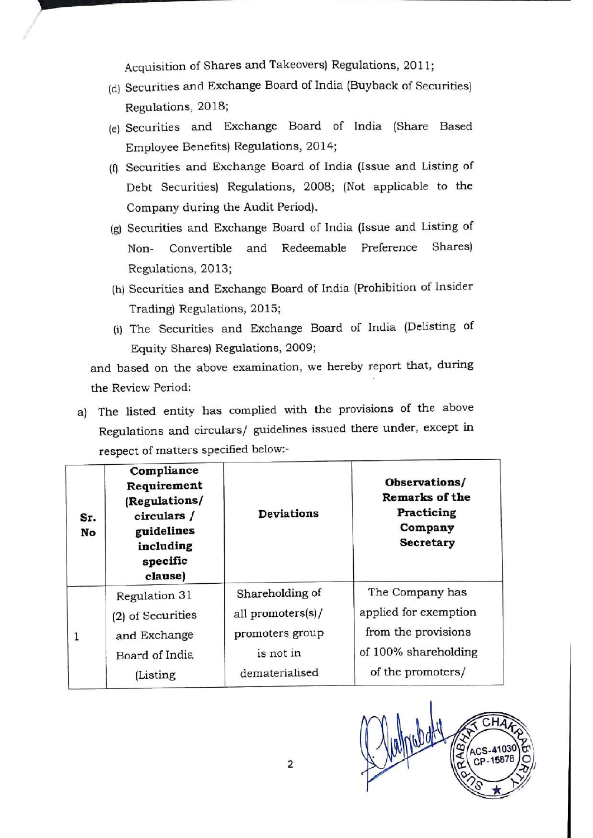Acquisition of Shares and Takeovers) Regulations, 2011;

- (d) Securities and Exchange Board of India (Buyback of Securities) Regulations, 2018;
- (e) Securities and Exchange Board of India (Share Based Employee Benefits) Regulations, 2014;
- (f) Securities and Exchange Board of India (Issue and Listing of Debt Securities) Regulations, 2008; (Not applicable to the Company during the Audit Period).
- (g) Securities and Exchange Board of India (Issue and Listing of Non- Convertible and Redeemable Preference Shares) Regulations, 2013;
- (h) Securities and Exchange Board of India (Prohibition of Insider Trading) Regulations, 2015;
- (i) The Securities and Exchange Board of India (Delisting of Equity Shares) Regulations, 2009;

a) The listed entity has complied with the provisions of the above Regulations and circulars/ guidelines issued there under, except in Acquisition of Shares and Ta<br>
(d) Securities and Exchange Boa<br>
Regulations, 2018;<br>
(e) Securities and Exchange<br>
Employee Benefits) Regulatio<br>
(f) Securities and Exchange Boa<br>
Debt Securities) Regulation<br>
Company during the respect of matters specified below:-

|     |                                                           | (f) Securities and Exchange Board of India (Issue and Listing of    |                                                      |
|-----|-----------------------------------------------------------|---------------------------------------------------------------------|------------------------------------------------------|
|     |                                                           | Debt Securities) Regulations, 2008; (Not applicable to the          |                                                      |
|     | Company during the Audit Period).                         |                                                                     |                                                      |
|     |                                                           | (g) Securities and Exchange Board of India (Issue and Listing of    |                                                      |
|     | Convertible<br>Non-                                       | Redeemable Preference<br>and                                        | Shares)                                              |
|     | Regulations, 2013;                                        |                                                                     |                                                      |
|     |                                                           | (h) Securities and Exchange Board of India (Prohibition of Insider  |                                                      |
|     | Trading) Regulations, 2015;                               |                                                                     |                                                      |
|     |                                                           | (i) The Securities and Exchange Board of India (Delisting of        |                                                      |
|     | Equity Shares) Regulations, 2009;                         |                                                                     |                                                      |
|     |                                                           | and based on the above examination, we hereby report that, during   |                                                      |
|     | the Review Period:                                        |                                                                     |                                                      |
|     |                                                           |                                                                     |                                                      |
| a)  |                                                           | The listed entity has complied with the provisions of the above     |                                                      |
|     |                                                           | Regulations and circulars/ guidelines issued there under, except in |                                                      |
|     | respect of matters specified below:-                      |                                                                     |                                                      |
| Sr. | Compliance<br>Requirement<br>(Regulations/<br>circulars / | Deviations                                                          | Observations/<br><b>Remarks of the</b><br>Practicing |
| No  | guidelines                                                |                                                                     | Company                                              |
|     | including<br>specific                                     |                                                                     | Secretary                                            |
|     | clause)                                                   |                                                                     |                                                      |
|     | Regulation 31                                             | Shareholding of                                                     | The Company has                                      |
|     | (2) of Securities                                         | all promoters(s)/                                                   | applied for exemption                                |
| 1   | and Exchange                                              | promoters group                                                     | from the provisions                                  |
|     | Board of India                                            | is not in                                                           | of 100% shareholding                                 |
|     | (Listing                                                  | dematerialised                                                      | of the promoters/                                    |



I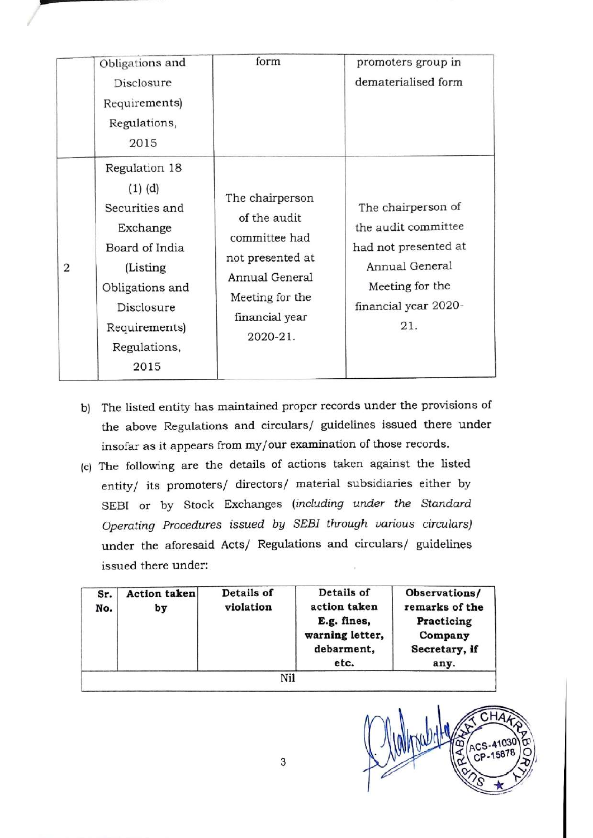|   |    |            | Obligations and<br>Disclosure<br>Requirements)<br>Regulations,<br>2015                                                                                              | form                                                                                                                                                                                                                                                                                                                                                                                                           |                      |                                                            | promoters group in<br>dematerialised form                                                                                                     |
|---|----|------------|---------------------------------------------------------------------------------------------------------------------------------------------------------------------|----------------------------------------------------------------------------------------------------------------------------------------------------------------------------------------------------------------------------------------------------------------------------------------------------------------------------------------------------------------------------------------------------------------|----------------------|------------------------------------------------------------|-----------------------------------------------------------------------------------------------------------------------------------------------|
| 2 |    |            | Regulation 18<br>$(1)$ $(d)$<br>Securities and<br>Exchange<br>Board of India<br>(Listing)<br>Obligations and<br>Disclosure<br>Requirements)<br>Regulations,<br>2015 | The chairperson<br>of the audit<br>committee had<br>not presented at<br>Annual General<br>Meeting for the<br>financial year<br>2020-21.                                                                                                                                                                                                                                                                        |                      |                                                            | The chairperson of<br>the audit committee<br>had not presented at<br>Annual General<br>Meeting for the<br>financial year 2020-<br>21.         |
|   | b) |            | issued there under:                                                                                                                                                 | insofar as it appears from my/our examination of those records.<br>(c) The following are the details of actions taken against the listed<br>entity/ its promoters/ directors/ material subsidiaries either by<br>SEBI or by Stock Exchanges (including under the Standard<br>Operating Procedures issued by SEBI through various circulars)<br>under the aforesaid Acts/ Regulations and circulars/ guidelines |                      |                                                            | The listed entity has maintained proper records under the provisions of<br>the above Regulations and circulars/ guidelines issued there under |
|   |    | Sr.<br>No. | <b>Action</b> taken<br>by                                                                                                                                           | Details of<br>violation                                                                                                                                                                                                                                                                                                                                                                                        | action taken<br>etc. | Details of<br>E.g. fines,<br>warning letter,<br>debarment, | Observations/<br>remarks of the<br>Practicing<br>Company<br>Secretary, if<br>any.                                                             |

- b) The listed entity has maintained proper records under the provisions of the above Regulations and circulars/ guidelines issued there under insofar as it appears from my/our examination of those records.
- (c) The following are the details of actions taken against the listed entity/ its promoters/ directors/ material subsidiaries either by SEBI or by Stock Exchanges (including under the Standard Operating Procedures issued by SEBI through various circulars) under the aforesaid Acts/ Regulations and circulars/ guidelines issued there under:

| Sr.<br>No. | Action taken<br>by | Details of<br>violation | Details of<br>action taken<br>E.g. fines,<br>warning letter,<br>debarment,<br>etc. | Observations/<br>remarks of the<br>Practicing<br>Company<br>Secretary, if<br>any. |
|------------|--------------------|-------------------------|------------------------------------------------------------------------------------|-----------------------------------------------------------------------------------|
|            |                    | Nil                     |                                                                                    |                                                                                   |



3